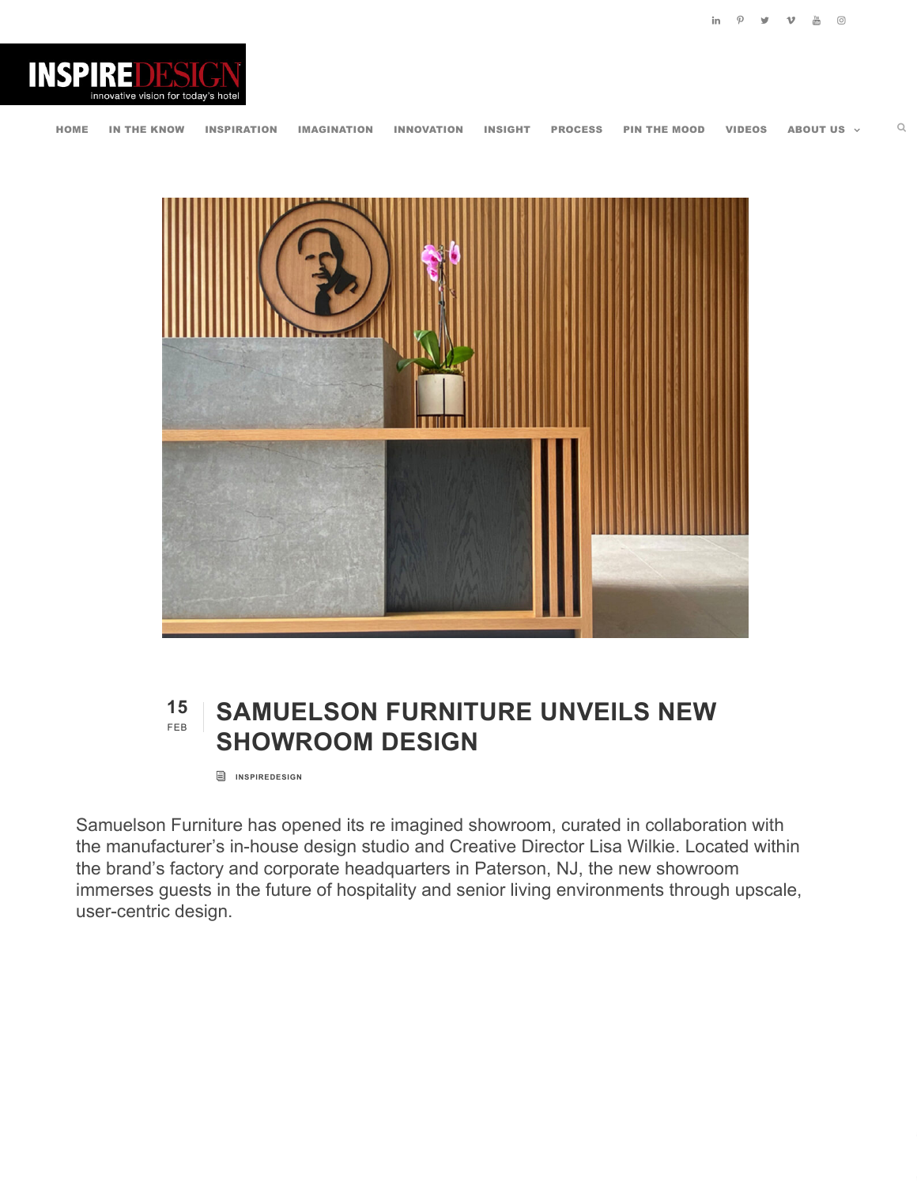



## **15** FEB **SAMUELSON FURNITURE UNVEILS NEW SHOWROOM DESIGN**

**i** [INSPIREDESIGN](https://www.myinspiredesign.com/author/inspiredesign/)

Samuelson Furniture has opened its re imagined showroom, curated in collaboration with the manufacturer's in-house design studio and Creative Director Lisa Wilkie. Located within the brand's factory and corporate headquarters in Paterson, NJ, the new showroom immerses guests in the future of hospitality and senior living environments through upscale, user-centric design.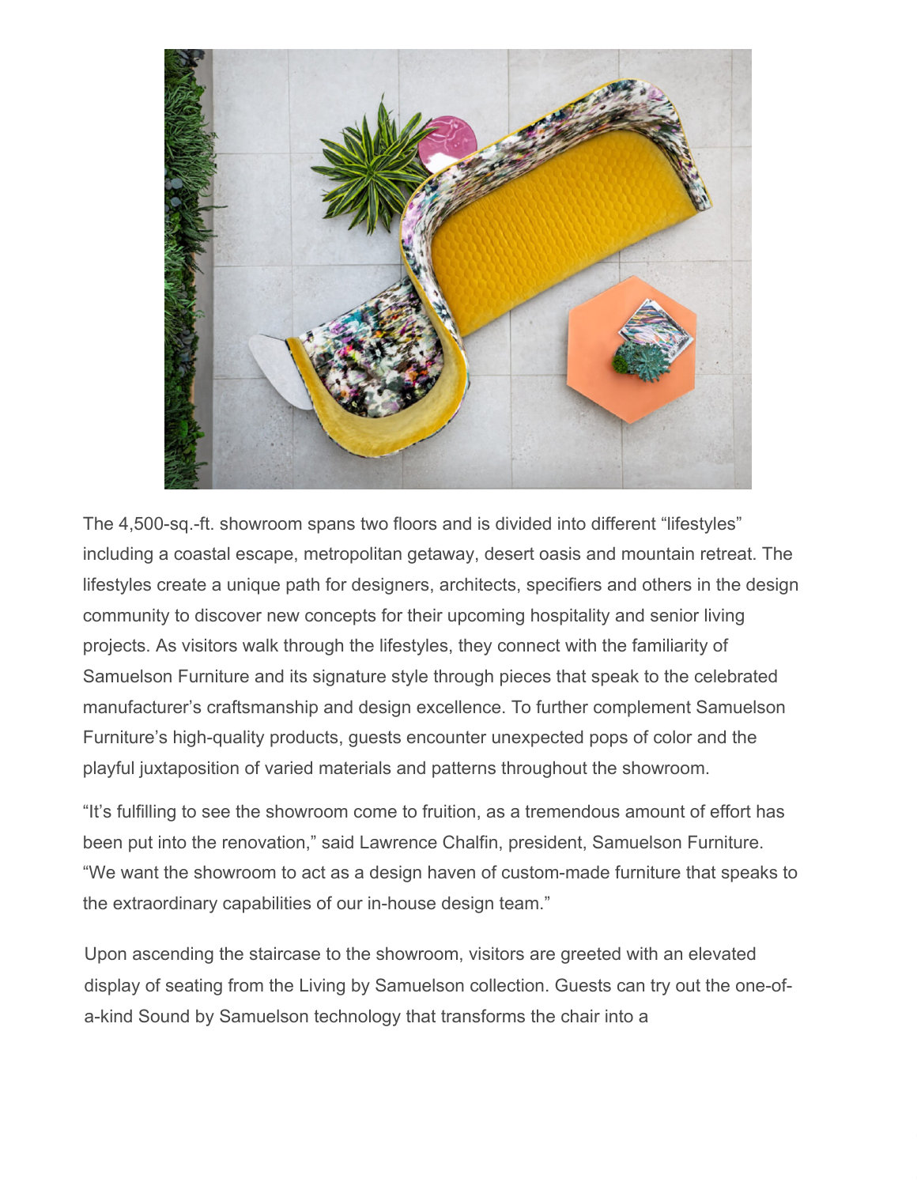

The 4,500-sq.-ft. showroom spans two floors and is divided into different "lifestyles" including a coastal escape, metropolitan getaway, desert oasis and mountain retreat. The lifestyles create a unique path for designers, architects, specifiers and others in the design community to discover new concepts for their upcoming hospitality and senior living projects. As visitors walk through the lifestyles, they connect with the familiarity of Samuelson Furniture and its signature style through pieces that speak to the celebrated manufacturer's craftsmanship and design excellence. To further complement Samuelson Furniture's high-quality products, guests encounter unexpected pops of color and the playful juxtaposition of varied materials and patterns throughout the showroom.

"It's fulfilling to see the showroom come to fruition, as a tremendous amount of effort has been put into the renovation," said Lawrence Chalfin, president, Samuelson Furniture. "We want the showroom to act as a design haven of custom-made furniture that speaks to the extraordinary capabilities of our in-house design team."

Upon ascending the staircase to the showroom, visitors are greeted with an elevated display of seating from the Living by Samuelson collection. Guests can try out the one-ofa-kind Sound by Samuelson technology that transforms the chair into a